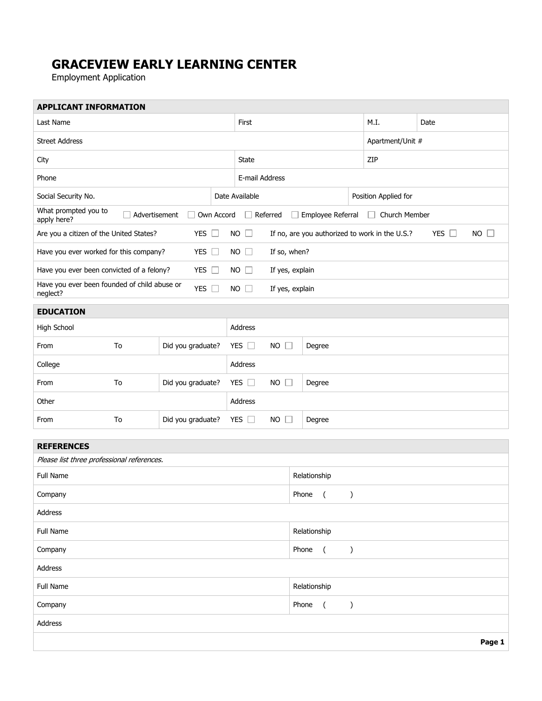## **GRACEVIEW EARLY LEARNING CENTER**

Employment Application

| <b>APPLICANT INFORMATION</b>                                              |    |                   |  |                                                                                            |                                    |              |        |                      |                  |  |      |  |  |        |
|---------------------------------------------------------------------------|----|-------------------|--|--------------------------------------------------------------------------------------------|------------------------------------|--------------|--------|----------------------|------------------|--|------|--|--|--------|
| Last Name                                                                 |    |                   |  | First                                                                                      |                                    |              |        |                      | M.I.             |  | Date |  |  |        |
| <b>Street Address</b>                                                     |    |                   |  |                                                                                            |                                    |              |        |                      | Apartment/Unit # |  |      |  |  |        |
| City                                                                      |    |                   |  | State                                                                                      |                                    |              |        |                      | ZIP              |  |      |  |  |        |
| Phone                                                                     |    |                   |  | E-mail Address                                                                             |                                    |              |        |                      |                  |  |      |  |  |        |
| Social Security No.                                                       |    |                   |  | Date Available                                                                             |                                    |              |        | Position Applied for |                  |  |      |  |  |        |
| What prompted you to<br>Own Accord<br>Advertisement<br>apply here?        |    |                   |  | Employee Referral<br>Church Member<br>Referred<br>$\Box$                                   |                                    |              |        |                      |                  |  |      |  |  |        |
| Are you a citizen of the United States?<br>YES $\Box$                     |    |                   |  | $NO$ $\Box$<br>$NO$ $\Box$<br>If no, are you authorized to work in the U.S.?<br>YES $\Box$ |                                    |              |        |                      |                  |  |      |  |  |        |
| YES $\square$<br>Have you ever worked for this company?                   |    |                   |  | $NO$ $\Box$<br>If so, when?                                                                |                                    |              |        |                      |                  |  |      |  |  |        |
| Have you ever been convicted of a felony?                                 |    | YES $\Box$        |  | $NO$ $\Box$                                                                                | If yes, explain                    |              |        |                      |                  |  |      |  |  |        |
| Have you ever been founded of child abuse or<br>YES $\square$<br>neglect? |    |                   |  | $NO$ $\Box$                                                                                | If yes, explain                    |              |        |                      |                  |  |      |  |  |        |
| <b>EDUCATION</b>                                                          |    |                   |  |                                                                                            |                                    |              |        |                      |                  |  |      |  |  |        |
| High School                                                               |    |                   |  | Address                                                                                    |                                    |              |        |                      |                  |  |      |  |  |        |
| From                                                                      | To | Did you graduate? |  | YES $\square$                                                                              | $NO$ $\Box$                        |              | Degree |                      |                  |  |      |  |  |        |
| College                                                                   |    |                   |  | Address                                                                                    |                                    |              |        |                      |                  |  |      |  |  |        |
| From                                                                      | To | Did you graduate? |  | YES $\square$                                                                              | $NO$ $\Box$                        |              | Degree |                      |                  |  |      |  |  |        |
| Other                                                                     |    |                   |  | Address                                                                                    |                                    |              |        |                      |                  |  |      |  |  |        |
| From                                                                      | To | Did you graduate? |  | YES $\Box$                                                                                 | $NO$ $\Box$                        |              | Degree |                      |                  |  |      |  |  |        |
| <b>REFERENCES</b>                                                         |    |                   |  |                                                                                            |                                    |              |        |                      |                  |  |      |  |  |        |
| Please list three professional references.                                |    |                   |  |                                                                                            |                                    |              |        |                      |                  |  |      |  |  |        |
| <b>Full Name</b>                                                          |    |                   |  |                                                                                            | Relationship                       |              |        |                      |                  |  |      |  |  |        |
| Company                                                                   |    |                   |  |                                                                                            |                                    | Phone        |        | $\overline{(}$       | $\mathcal{E}$    |  |      |  |  |        |
| Address                                                                   |    |                   |  |                                                                                            |                                    |              |        |                      |                  |  |      |  |  |        |
| Full Name                                                                 |    |                   |  | Relationship                                                                               |                                    |              |        |                      |                  |  |      |  |  |        |
| Company                                                                   |    |                   |  |                                                                                            | Phone<br>$\left($<br>$\mathcal{C}$ |              |        |                      |                  |  |      |  |  |        |
| Address                                                                   |    |                   |  |                                                                                            |                                    |              |        |                      |                  |  |      |  |  |        |
| Full Name                                                                 |    |                   |  |                                                                                            |                                    | Relationship |        |                      |                  |  |      |  |  |        |
| Company                                                                   |    |                   |  |                                                                                            |                                    | Phone        |        | $\left($             | $\mathcal{E}$    |  |      |  |  |        |
| Address                                                                   |    |                   |  |                                                                                            |                                    |              |        |                      |                  |  |      |  |  |        |
|                                                                           |    |                   |  |                                                                                            |                                    |              |        |                      |                  |  |      |  |  | Page 1 |